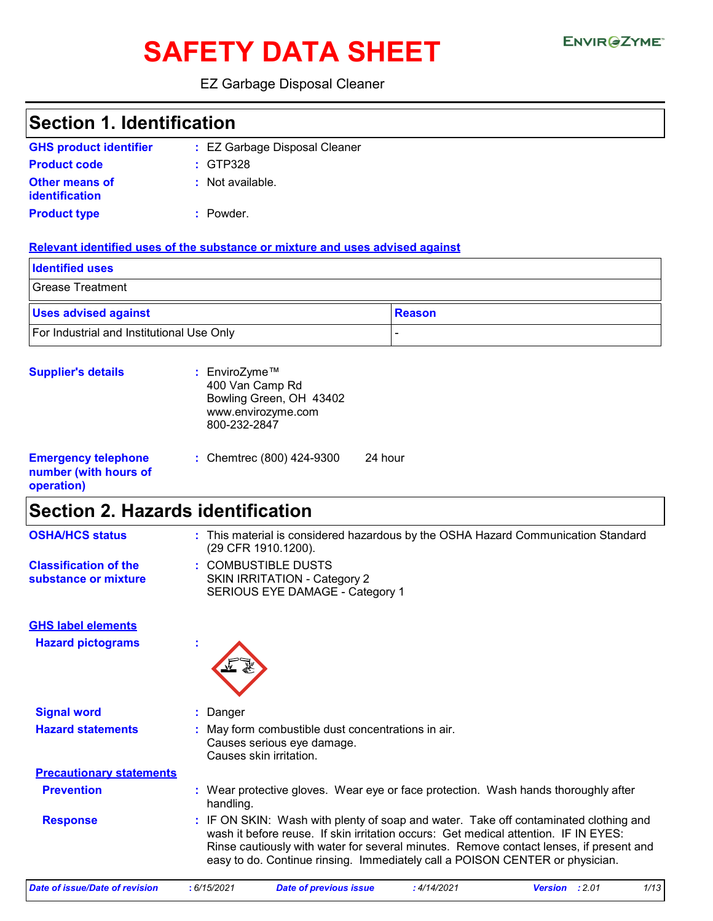# SAFETY DATA SHEET ENVIRGETMEN

### EZ Garbage Disposal Cleaner

| <b>Section 1. Identification</b>                                  |                                                                                                                                                                                                                                                                                                                                                       |  |  |
|-------------------------------------------------------------------|-------------------------------------------------------------------------------------------------------------------------------------------------------------------------------------------------------------------------------------------------------------------------------------------------------------------------------------------------------|--|--|
| <b>GHS product identifier</b>                                     | : EZ Garbage Disposal Cleaner                                                                                                                                                                                                                                                                                                                         |  |  |
| <b>Product code</b>                                               | GTP328                                                                                                                                                                                                                                                                                                                                                |  |  |
| <b>Other means of</b><br><b>identification</b>                    | : Not available.                                                                                                                                                                                                                                                                                                                                      |  |  |
| <b>Product type</b>                                               | : Powder.                                                                                                                                                                                                                                                                                                                                             |  |  |
|                                                                   | Relevant identified uses of the substance or mixture and uses advised against                                                                                                                                                                                                                                                                         |  |  |
| <b>Identified uses</b>                                            |                                                                                                                                                                                                                                                                                                                                                       |  |  |
| <b>Grease Treatment</b>                                           |                                                                                                                                                                                                                                                                                                                                                       |  |  |
| <b>Uses advised against</b>                                       | <b>Reason</b>                                                                                                                                                                                                                                                                                                                                         |  |  |
| For Industrial and Institutional Use Only                         |                                                                                                                                                                                                                                                                                                                                                       |  |  |
| <b>Supplier's details</b>                                         | : EnviroZyme™<br>400 Van Camp Rd<br>Bowling Green, OH 43402<br>www.envirozyme.com<br>800-232-2847                                                                                                                                                                                                                                                     |  |  |
| <b>Emergency telephone</b><br>number (with hours of<br>operation) | 24 hour<br>: Chemtrec (800) 424-9300                                                                                                                                                                                                                                                                                                                  |  |  |
| <b>Section 2. Hazards identification</b>                          |                                                                                                                                                                                                                                                                                                                                                       |  |  |
| <b>OSHA/HCS status</b>                                            | : This material is considered hazardous by the OSHA Hazard Communication Standard<br>(29 CFR 1910.1200).                                                                                                                                                                                                                                              |  |  |
| <b>Classification of the</b><br>substance or mixture              | : COMBUSTIBLE DUSTS<br><b>SKIN IRRITATION - Category 2</b><br>SERIOUS EYE DAMAGE - Category 1                                                                                                                                                                                                                                                         |  |  |
| <b>GHS label elements</b><br><b>Hazard pictograms</b>             |                                                                                                                                                                                                                                                                                                                                                       |  |  |
|                                                                   |                                                                                                                                                                                                                                                                                                                                                       |  |  |
| <b>Signal word</b>                                                | Danger                                                                                                                                                                                                                                                                                                                                                |  |  |
| <b>Hazard statements</b>                                          | May form combustible dust concentrations in air.<br>Causes serious eye damage.<br>Causes skin irritation.                                                                                                                                                                                                                                             |  |  |
| <b>Precautionary statements</b>                                   |                                                                                                                                                                                                                                                                                                                                                       |  |  |
| <b>Prevention</b>                                                 | : Wear protective gloves. Wear eye or face protection. Wash hands thoroughly after<br>handling.                                                                                                                                                                                                                                                       |  |  |
| <b>Response</b>                                                   | : IF ON SKIN: Wash with plenty of soap and water. Take off contaminated clothing and<br>wash it before reuse. If skin irritation occurs: Get medical attention. IF IN EYES:<br>Rinse cautiously with water for several minutes. Remove contact lenses, if present and<br>easy to do. Continue rinsing. Immediately call a POISON CENTER or physician. |  |  |

*Date of issue/Date of revision* **:** *6/15/2021 Date of previous issue : 4/14/2021 Version : 2.01 1/13*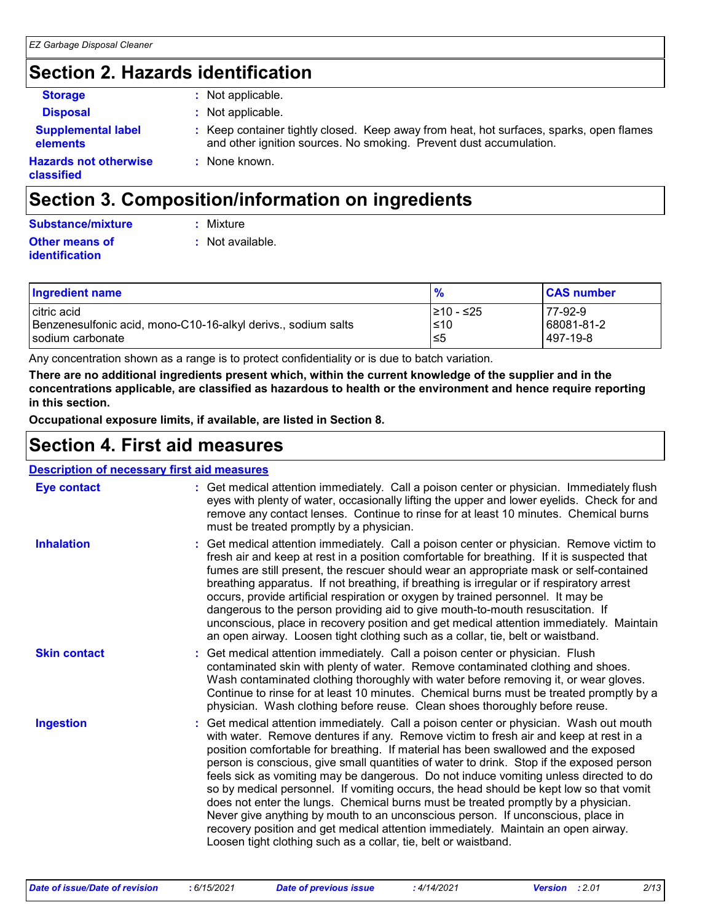# **Section 2. Hazards identification**

| × |  |
|---|--|
|---|--|

**classified**

**:** Not applicable.

- **Supplemental label elements**
- **Disposal :** Not applicable.
	- **:** Keep container tightly closed. Keep away from heat, hot surfaces, sparks, open flames and other ignition sources. No smoking. Prevent dust accumulation.
- **Hazards not otherwise :** None known.

# **Section 3. Composition/information on ingredients**

| <b>Substance/mixture</b> | : Mixture |
|--------------------------|-----------|
|                          |           |

- 
- **Other means of identification**
- - **:** Not available.

| <b>Ingredient name</b>                                        | %          | <b>CAS number</b> |
|---------------------------------------------------------------|------------|-------------------|
| I citric acid                                                 | I≥10 - ≤25 | 77-92-9           |
| Benzenesulfonic acid, mono-C10-16-alkyl derivs., sodium salts | $≤10$      | 68081-81-2        |
| sodium carbonate                                              | ≤5         | 497-19-8          |

Any concentration shown as a range is to protect confidentiality or is due to batch variation.

**There are no additional ingredients present which, within the current knowledge of the supplier and in the concentrations applicable, are classified as hazardous to health or the environment and hence require reporting in this section.**

**Occupational exposure limits, if available, are listed in Section 8.**

# **Section 4. First aid measures**

#### **Description of necessary first aid measures**

| <b>Eye contact</b>  | : Get medical attention immediately. Call a poison center or physician. Immediately flush<br>eyes with plenty of water, occasionally lifting the upper and lower eyelids. Check for and<br>remove any contact lenses. Continue to rinse for at least 10 minutes. Chemical burns<br>must be treated promptly by a physician.                                                                                                                                                                                                                                                                                                                                                                                                                                                                                                                                                         |
|---------------------|-------------------------------------------------------------------------------------------------------------------------------------------------------------------------------------------------------------------------------------------------------------------------------------------------------------------------------------------------------------------------------------------------------------------------------------------------------------------------------------------------------------------------------------------------------------------------------------------------------------------------------------------------------------------------------------------------------------------------------------------------------------------------------------------------------------------------------------------------------------------------------------|
| <b>Inhalation</b>   | : Get medical attention immediately. Call a poison center or physician. Remove victim to<br>fresh air and keep at rest in a position comfortable for breathing. If it is suspected that<br>fumes are still present, the rescuer should wear an appropriate mask or self-contained<br>breathing apparatus. If not breathing, if breathing is irregular or if respiratory arrest<br>occurs, provide artificial respiration or oxygen by trained personnel. It may be<br>dangerous to the person providing aid to give mouth-to-mouth resuscitation. If<br>unconscious, place in recovery position and get medical attention immediately. Maintain<br>an open airway. Loosen tight clothing such as a collar, tie, belt or waistband.                                                                                                                                                  |
| <b>Skin contact</b> | : Get medical attention immediately. Call a poison center or physician. Flush<br>contaminated skin with plenty of water. Remove contaminated clothing and shoes.<br>Wash contaminated clothing thoroughly with water before removing it, or wear gloves.<br>Continue to rinse for at least 10 minutes. Chemical burns must be treated promptly by a<br>physician. Wash clothing before reuse. Clean shoes thoroughly before reuse.                                                                                                                                                                                                                                                                                                                                                                                                                                                  |
| <b>Ingestion</b>    | : Get medical attention immediately. Call a poison center or physician. Wash out mouth<br>with water. Remove dentures if any. Remove victim to fresh air and keep at rest in a<br>position comfortable for breathing. If material has been swallowed and the exposed<br>person is conscious, give small quantities of water to drink. Stop if the exposed person<br>feels sick as vomiting may be dangerous. Do not induce vomiting unless directed to do<br>so by medical personnel. If vomiting occurs, the head should be kept low so that vomit<br>does not enter the lungs. Chemical burns must be treated promptly by a physician.<br>Never give anything by mouth to an unconscious person. If unconscious, place in<br>recovery position and get medical attention immediately. Maintain an open airway.<br>Loosen tight clothing such as a collar, tie, belt or waistband. |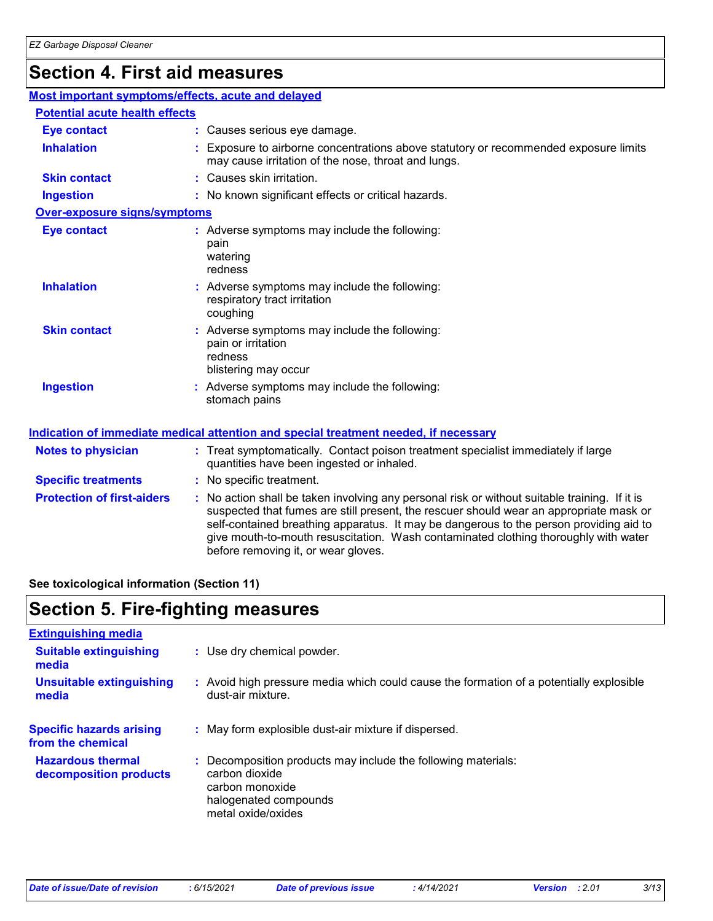### **Section 4. First aid measures**

| Most important symptoms/effects, acute and delayed |                                                                                                                                                                                                                                                                                                                                                                                                                 |
|----------------------------------------------------|-----------------------------------------------------------------------------------------------------------------------------------------------------------------------------------------------------------------------------------------------------------------------------------------------------------------------------------------------------------------------------------------------------------------|
| <b>Potential acute health effects</b>              |                                                                                                                                                                                                                                                                                                                                                                                                                 |
| <b>Eye contact</b>                                 | : Causes serious eye damage.                                                                                                                                                                                                                                                                                                                                                                                    |
| <b>Inhalation</b>                                  | : Exposure to airborne concentrations above statutory or recommended exposure limits<br>may cause irritation of the nose, throat and lungs.                                                                                                                                                                                                                                                                     |
| <b>Skin contact</b>                                | : Causes skin irritation.                                                                                                                                                                                                                                                                                                                                                                                       |
| <b>Ingestion</b>                                   | : No known significant effects or critical hazards.                                                                                                                                                                                                                                                                                                                                                             |
| <b>Over-exposure signs/symptoms</b>                |                                                                                                                                                                                                                                                                                                                                                                                                                 |
| <b>Eye contact</b>                                 | : Adverse symptoms may include the following:<br>pain<br>watering<br>redness                                                                                                                                                                                                                                                                                                                                    |
| <b>Inhalation</b>                                  | : Adverse symptoms may include the following:<br>respiratory tract irritation<br>coughing                                                                                                                                                                                                                                                                                                                       |
| <b>Skin contact</b>                                | : Adverse symptoms may include the following:<br>pain or irritation<br>redness<br>blistering may occur                                                                                                                                                                                                                                                                                                          |
| <b>Ingestion</b>                                   | : Adverse symptoms may include the following:<br>stomach pains                                                                                                                                                                                                                                                                                                                                                  |
|                                                    | Indication of immediate medical attention and special treatment needed, if necessary                                                                                                                                                                                                                                                                                                                            |
| <b>Notes to physician</b>                          | : Treat symptomatically. Contact poison treatment specialist immediately if large<br>quantities have been ingested or inhaled.                                                                                                                                                                                                                                                                                  |
| <b>Specific treatments</b>                         | : No specific treatment.                                                                                                                                                                                                                                                                                                                                                                                        |
| <b>Protection of first-aiders</b>                  | : No action shall be taken involving any personal risk or without suitable training. If it is<br>suspected that fumes are still present, the rescuer should wear an appropriate mask or<br>self-contained breathing apparatus. It may be dangerous to the person providing aid to<br>give mouth-to-mouth resuscitation. Wash contaminated clothing thoroughly with water<br>before removing it, or wear gloves. |

**See toxicological information (Section 11)**

# **Section 5. Fire-fighting measures**

| <b>Extinguishing media</b>                           |                                                                                                                                                   |
|------------------------------------------------------|---------------------------------------------------------------------------------------------------------------------------------------------------|
| <b>Suitable extinguishing</b><br>media               | : Use dry chemical powder.                                                                                                                        |
| <b>Unsuitable extinguishing</b><br>media             | : Avoid high pressure media which could cause the formation of a potentially explosible<br>dust-air mixture.                                      |
| <b>Specific hazards arising</b><br>from the chemical | : May form explosible dust-air mixture if dispersed.                                                                                              |
| <b>Hazardous thermal</b><br>decomposition products   | : Decomposition products may include the following materials:<br>carbon dioxide<br>carbon monoxide<br>halogenated compounds<br>metal oxide/oxides |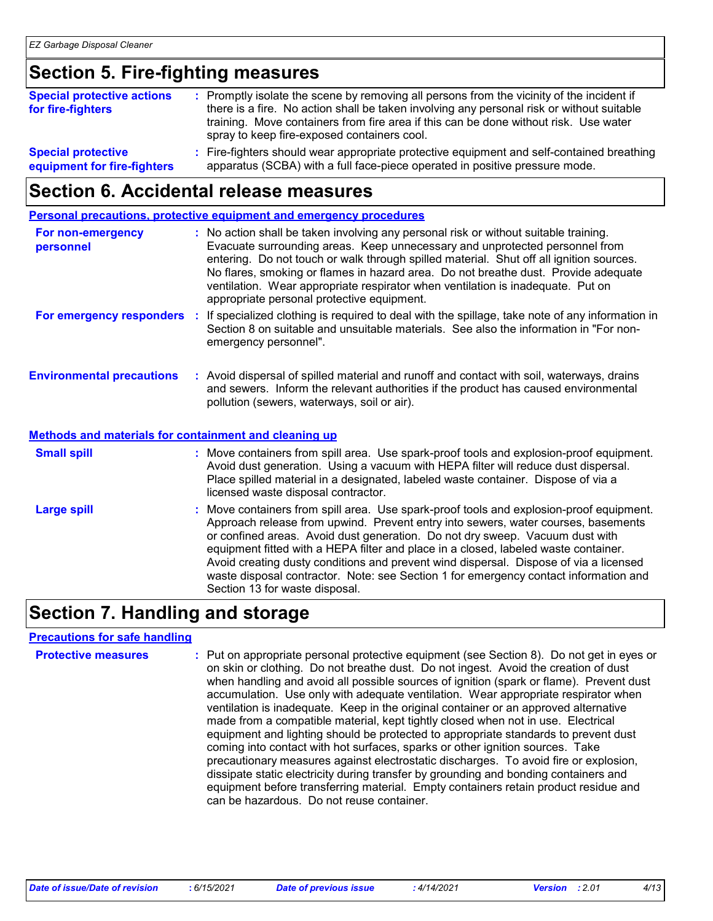### **Section 5. Fire-fighting measures**

| <b>Special protective actions</b><br>for fire-fighters   | : Promptly isolate the scene by removing all persons from the vicinity of the incident if<br>there is a fire. No action shall be taken involving any personal risk or without suitable<br>training. Move containers from fire area if this can be done without risk. Use water<br>spray to keep fire-exposed containers cool. |
|----------------------------------------------------------|-------------------------------------------------------------------------------------------------------------------------------------------------------------------------------------------------------------------------------------------------------------------------------------------------------------------------------|
| <b>Special protective</b><br>equipment for fire-fighters | : Fire-fighters should wear appropriate protective equipment and self-contained breathing<br>apparatus (SCBA) with a full face-piece operated in positive pressure mode.                                                                                                                                                      |

### **Section 6. Accidental release measures**

**Personal precautions, protective equipment and emergency procedures**

| For non-emergency<br>personnel                               | : No action shall be taken involving any personal risk or without suitable training.<br>Evacuate surrounding areas. Keep unnecessary and unprotected personnel from<br>entering. Do not touch or walk through spilled material. Shut off all ignition sources.<br>No flares, smoking or flames in hazard area. Do not breathe dust. Provide adequate<br>ventilation. Wear appropriate respirator when ventilation is inadequate. Put on<br>appropriate personal protective equipment.                                                |
|--------------------------------------------------------------|--------------------------------------------------------------------------------------------------------------------------------------------------------------------------------------------------------------------------------------------------------------------------------------------------------------------------------------------------------------------------------------------------------------------------------------------------------------------------------------------------------------------------------------|
| For emergency responders                                     | : If specialized clothing is required to deal with the spillage, take note of any information in<br>Section 8 on suitable and unsuitable materials. See also the information in "For non-<br>emergency personnel".                                                                                                                                                                                                                                                                                                                   |
| <b>Environmental precautions</b>                             | : Avoid dispersal of spilled material and runoff and contact with soil, waterways, drains<br>and sewers. Inform the relevant authorities if the product has caused environmental<br>pollution (sewers, waterways, soil or air).                                                                                                                                                                                                                                                                                                      |
| <b>Methods and materials for containment and cleaning up</b> |                                                                                                                                                                                                                                                                                                                                                                                                                                                                                                                                      |
| <b>Small spill</b>                                           | : Move containers from spill area. Use spark-proof tools and explosion-proof equipment.<br>Avoid dust generation. Using a vacuum with HEPA filter will reduce dust dispersal.<br>Place spilled material in a designated, labeled waste container. Dispose of via a<br>licensed waste disposal contractor.                                                                                                                                                                                                                            |
| <b>Large spill</b>                                           | : Move containers from spill area. Use spark-proof tools and explosion-proof equipment.<br>Approach release from upwind. Prevent entry into sewers, water courses, basements<br>or confined areas. Avoid dust generation. Do not dry sweep. Vacuum dust with<br>equipment fitted with a HEPA filter and place in a closed, labeled waste container.<br>Avoid creating dusty conditions and prevent wind dispersal. Dispose of via a licensed<br>waste disposal contractor. Note: see Section 1 for emergency contact information and |

# **Section 7. Handling and storage**

#### **Precautions for safe handling**

| <b>Protective measures</b> | : Put on appropriate personal protective equipment (see Section 8). Do not get in eyes or<br>on skin or clothing. Do not breathe dust. Do not ingest. Avoid the creation of dust<br>when handling and avoid all possible sources of ignition (spark or flame). Prevent dust<br>accumulation. Use only with adequate ventilation. Wear appropriate respirator when<br>ventilation is inadequate. Keep in the original container or an approved alternative<br>made from a compatible material, kept tightly closed when not in use. Electrical<br>equipment and lighting should be protected to appropriate standards to prevent dust<br>coming into contact with hot surfaces, sparks or other ignition sources. Take<br>precautionary measures against electrostatic discharges. To avoid fire or explosion,<br>dissipate static electricity during transfer by grounding and bonding containers and<br>equipment before transferring material. Empty containers retain product residue and |
|----------------------------|----------------------------------------------------------------------------------------------------------------------------------------------------------------------------------------------------------------------------------------------------------------------------------------------------------------------------------------------------------------------------------------------------------------------------------------------------------------------------------------------------------------------------------------------------------------------------------------------------------------------------------------------------------------------------------------------------------------------------------------------------------------------------------------------------------------------------------------------------------------------------------------------------------------------------------------------------------------------------------------------|
|                            | can be hazardous. Do not reuse container.                                                                                                                                                                                                                                                                                                                                                                                                                                                                                                                                                                                                                                                                                                                                                                                                                                                                                                                                                    |

Section 13 for waste disposal.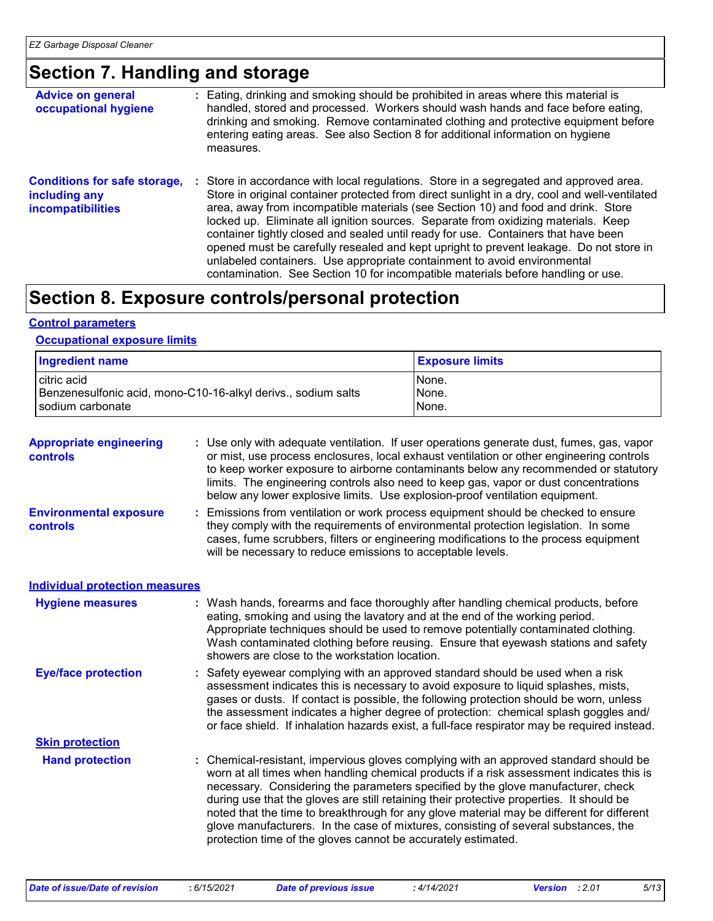### **Section 7. Handling and storage**

| <b>Advice on general</b><br>occupational hygiene                                 | : Eating, drinking and smoking should be prohibited in areas where this material is<br>handled, stored and processed. Workers should wash hands and face before eating,<br>drinking and smoking. Remove contaminated clothing and protective equipment before<br>entering eating areas. See also Section 8 for additional information on hygiene<br>measures.                                                                                                                                                                                                                                                                                                                                                      |
|----------------------------------------------------------------------------------|--------------------------------------------------------------------------------------------------------------------------------------------------------------------------------------------------------------------------------------------------------------------------------------------------------------------------------------------------------------------------------------------------------------------------------------------------------------------------------------------------------------------------------------------------------------------------------------------------------------------------------------------------------------------------------------------------------------------|
| <b>Conditions for safe storage,</b><br>including any<br><b>incompatibilities</b> | : Store in accordance with local regulations. Store in a segregated and approved area.<br>Store in original container protected from direct sunlight in a dry, cool and well-ventilated<br>area, away from incompatible materials (see Section 10) and food and drink. Store<br>locked up. Eliminate all ignition sources. Separate from oxidizing materials. Keep<br>container tightly closed and sealed until ready for use. Containers that have been<br>opened must be carefully resealed and kept upright to prevent leakage. Do not store in<br>unlabeled containers. Use appropriate containment to avoid environmental<br>contamination. See Section 10 for incompatible materials before handling or use. |

### **Section 8. Exposure controls/personal protection**

#### **Control parameters**

#### **Occupational exposure limits**

| <b>Ingredient name</b>                                        | <b>Exposure limits</b> |
|---------------------------------------------------------------|------------------------|
| citric acid                                                   | None.                  |
| Benzenesulfonic acid, mono-C10-16-alkyl derivs., sodium salts | None.                  |
| sodium carbonate                                              | None.                  |

| <b>Appropriate engineering</b><br><b>controls</b>        | : Use only with adequate ventilation. If user operations generate dust, fumes, gas, vapor<br>or mist, use process enclosures, local exhaust ventilation or other engineering controls<br>to keep worker exposure to airborne contaminants below any recommended or statutory<br>limits. The engineering controls also need to keep gas, vapor or dust concentrations<br>below any lower explosive limits. Use explosion-proof ventilation equipment. |
|----------------------------------------------------------|------------------------------------------------------------------------------------------------------------------------------------------------------------------------------------------------------------------------------------------------------------------------------------------------------------------------------------------------------------------------------------------------------------------------------------------------------|
| interest the company of the first service of the company | a a Francisco e francesco a Martina e a canada a anteresa e a canta a canada de a debeda entre a francesa e a c                                                                                                                                                                                                                                                                                                                                      |

**Environmental exposure controls :** Emissions from ventilation or work process equipment should be checked to ensure they comply with the requirements of environmental protection legislation. In some cases, fume scrubbers, filters or engineering modifications to the process equipment will be necessary to reduce emissions to acceptable levels.

#### **Individual protection measures**

| <b>Hygiene measures</b>    | : Wash hands, forearms and face thoroughly after handling chemical products, before<br>eating, smoking and using the lavatory and at the end of the working period.<br>Appropriate techniques should be used to remove potentially contaminated clothing.<br>Wash contaminated clothing before reusing. Ensure that eyewash stations and safety<br>showers are close to the workstation location.                                                                                                                                                                                                                      |
|----------------------------|------------------------------------------------------------------------------------------------------------------------------------------------------------------------------------------------------------------------------------------------------------------------------------------------------------------------------------------------------------------------------------------------------------------------------------------------------------------------------------------------------------------------------------------------------------------------------------------------------------------------|
| <b>Eye/face protection</b> | : Safety eyewear complying with an approved standard should be used when a risk<br>assessment indicates this is necessary to avoid exposure to liquid splashes, mists,<br>gases or dusts. If contact is possible, the following protection should be worn, unless<br>the assessment indicates a higher degree of protection: chemical splash goggles and/<br>or face shield. If inhalation hazards exist, a full-face respirator may be required instead.                                                                                                                                                              |
| <b>Skin protection</b>     |                                                                                                                                                                                                                                                                                                                                                                                                                                                                                                                                                                                                                        |
| <b>Hand protection</b>     | : Chemical-resistant, impervious gloves complying with an approved standard should be<br>worn at all times when handling chemical products if a risk assessment indicates this is<br>necessary. Considering the parameters specified by the glove manufacturer, check<br>during use that the gloves are still retaining their protective properties. It should be<br>noted that the time to breakthrough for any glove material may be different for different<br>glove manufacturers. In the case of mixtures, consisting of several substances, the<br>protection time of the gloves cannot be accurately estimated. |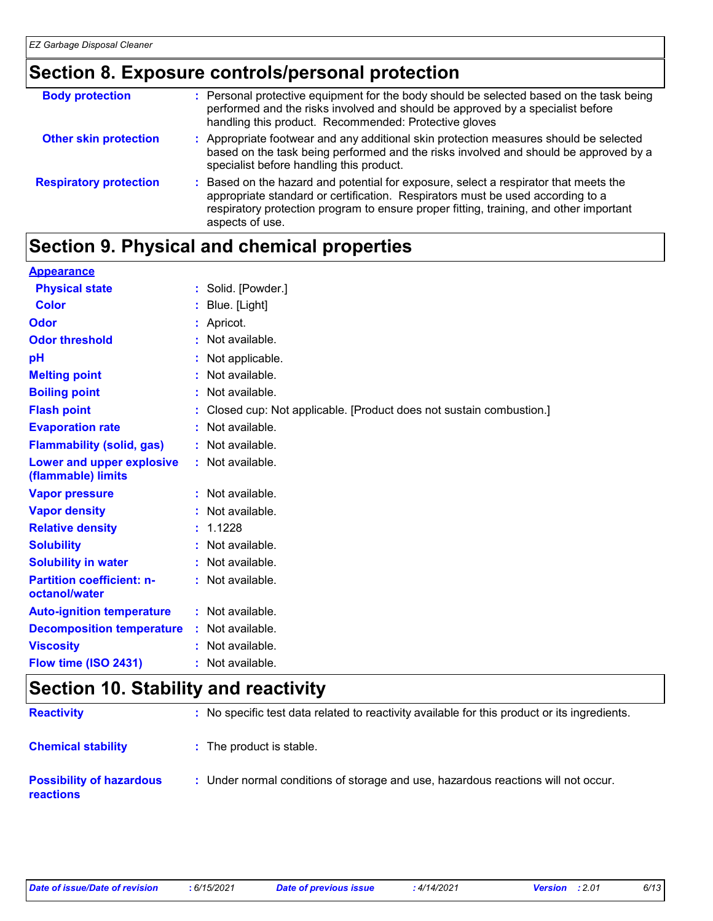### **Section 8. Exposure controls/personal protection**

| <b>Body protection</b>        | : Personal protective equipment for the body should be selected based on the task being<br>performed and the risks involved and should be approved by a specialist before<br>handling this product. Recommended: Protective gloves                                                  |
|-------------------------------|-------------------------------------------------------------------------------------------------------------------------------------------------------------------------------------------------------------------------------------------------------------------------------------|
| <b>Other skin protection</b>  | : Appropriate footwear and any additional skin protection measures should be selected<br>based on the task being performed and the risks involved and should be approved by a<br>specialist before handling this product.                                                           |
| <b>Respiratory protection</b> | : Based on the hazard and potential for exposure, select a respirator that meets the<br>appropriate standard or certification. Respirators must be used according to a<br>respiratory protection program to ensure proper fitting, training, and other important<br>aspects of use. |

# **Section 9. Physical and chemical properties**

| <b>Appearance</b>                |           |                                                                      |
|----------------------------------|-----------|----------------------------------------------------------------------|
| <b>Physical state</b>            |           | : Solid. [Powder.]                                                   |
| <b>Color</b>                     |           | : Blue. [Light]                                                      |
| <b>Odor</b>                      |           | : Apricot.                                                           |
| <b>Odor threshold</b>            | $\bullet$ | Not available.                                                       |
| pH                               |           | Not applicable.                                                      |
| <b>Melting point</b>             |           | Not available.                                                       |
| <b>Boiling point</b>             |           | Not available.                                                       |
| <b>Flash point</b>               |           | : Closed cup: Not applicable. [Product does not sustain combustion.] |
| <b>Evaporation rate</b>          | ÷.        | Not available.                                                       |
| <b>Flammability (solid, gas)</b> |           | : Not available.                                                     |
| Lower and upper explosive        |           | : Not available.                                                     |
| (flammable) limits               |           |                                                                      |
| <b>Vapor pressure</b>            |           | : Not available.                                                     |
| <b>Vapor density</b>             |           | Not available.                                                       |
| <b>Relative density</b>          |           | : 1.1228                                                             |
| <b>Solubility</b>                |           | : Not available.                                                     |
| <b>Solubility in water</b>       |           | : Not available.                                                     |
| <b>Partition coefficient: n-</b> |           | : Not available.                                                     |
| octanol/water                    |           |                                                                      |
| <b>Auto-ignition temperature</b> |           | : Not available.                                                     |
| <b>Decomposition temperature</b> |           | : Not available.                                                     |
| <b>Viscosity</b>                 |           | : Not available.                                                     |
| Flow time (ISO 2431)             |           | : Not available.                                                     |

# **Section 10. Stability and reactivity**

| <b>Reactivity</b>                                   | : No specific test data related to reactivity available for this product or its ingredients. |
|-----------------------------------------------------|----------------------------------------------------------------------------------------------|
| <b>Chemical stability</b>                           | : The product is stable.                                                                     |
| <b>Possibility of hazardous</b><br><b>reactions</b> | : Under normal conditions of storage and use, hazardous reactions will not occur.            |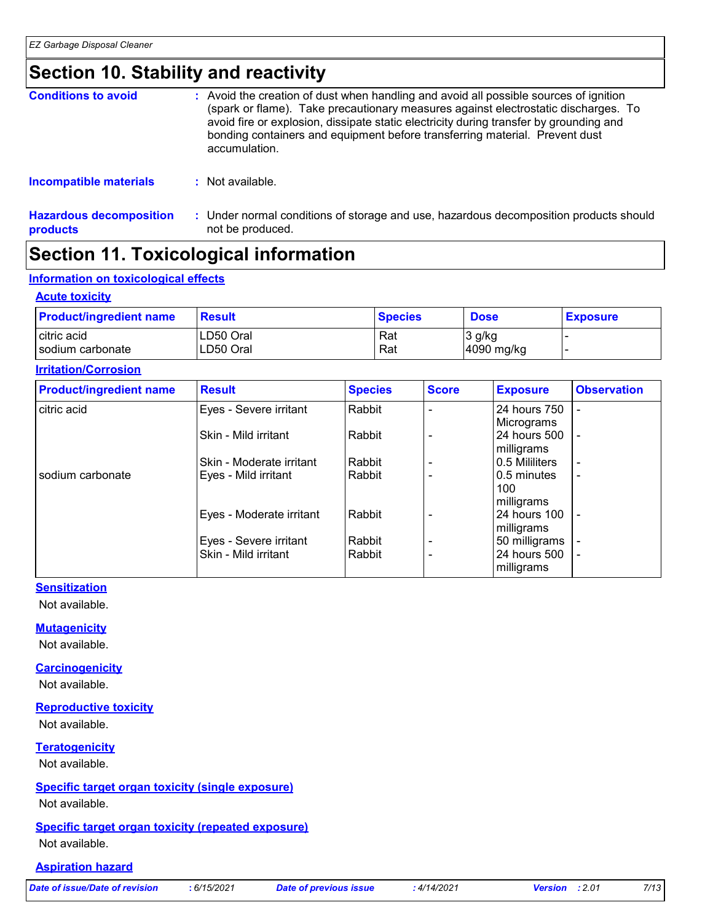### **Section 10. Stability and reactivity**

| <b>Conditions to avoid</b> | : Avoid the creation of dust when handling and avoid all possible sources of ignition<br>(spark or flame). Take precautionary measures against electrostatic discharges. To<br>avoid fire or explosion, dissipate static electricity during transfer by grounding and<br>bonding containers and equipment before transferring material. Prevent dust<br>accumulation. |
|----------------------------|-----------------------------------------------------------------------------------------------------------------------------------------------------------------------------------------------------------------------------------------------------------------------------------------------------------------------------------------------------------------------|
| Incompatible materials     | : Not available.                                                                                                                                                                                                                                                                                                                                                      |

**Hazardous decomposition products** Under normal conditions of storage and use, hazardous decomposition products should **:** not be produced.

# **Section 11. Toxicological information**

#### **Information on toxicological effects**

#### **Acute toxicity**

| <b>Product/ingredient name</b> | <b>Result</b> | <b>Species</b> | <b>Dose</b> | <b>Exposure</b> |
|--------------------------------|---------------|----------------|-------------|-----------------|
| citric acid                    | LD50 Oral     | Rat            | $3$ g/kg    |                 |
| Isodium carbonate              | LD50 Oral     | Rat            | 4090 mg/kg  |                 |

#### **Irritation/Corrosion**

| <b>Product/ingredient name</b> | <b>Result</b>            | <b>Species</b> | <b>Score</b> | <b>Exposure</b>     | <b>Observation</b>       |
|--------------------------------|--------------------------|----------------|--------------|---------------------|--------------------------|
| citric acid                    | Eyes - Severe irritant   | Rabbit         |              | 24 hours 750        |                          |
|                                |                          |                |              | Micrograms          |                          |
|                                | Skin - Mild irritant     | Rabbit         |              | 24 hours 500        |                          |
|                                |                          |                |              | milligrams          |                          |
|                                | Skin - Moderate irritant | Rabbit         |              | 0.5 Mililiters      | $\overline{\phantom{a}}$ |
| sodium carbonate               | Eyes - Mild irritant     | Rabbit         |              | 0.5 minutes         | $\overline{\phantom{0}}$ |
|                                |                          |                |              | 100                 |                          |
|                                |                          |                |              | milligrams          |                          |
|                                | Eyes - Moderate irritant | Rabbit         |              | <b>24 hours 100</b> | $\overline{a}$           |
|                                |                          |                |              | milligrams          |                          |
|                                | Eyes - Severe irritant   | Rabbit         |              | 50 milligrams       |                          |
|                                | Skin - Mild irritant     | Rabbit         |              | 24 hours 500        | $\overline{\phantom{a}}$ |
|                                |                          |                |              | milligrams          |                          |

#### **Sensitization**

Not available.

#### **Mutagenicity**

Not available.

#### **Carcinogenicity**

Not available.

#### **Reproductive toxicity**

Not available.

#### **Teratogenicity**

Not available.

#### **Specific target organ toxicity (single exposure)**

Not available.

#### **Specific target organ toxicity (repeated exposure)** Not available.

#### **Aspiration hazard**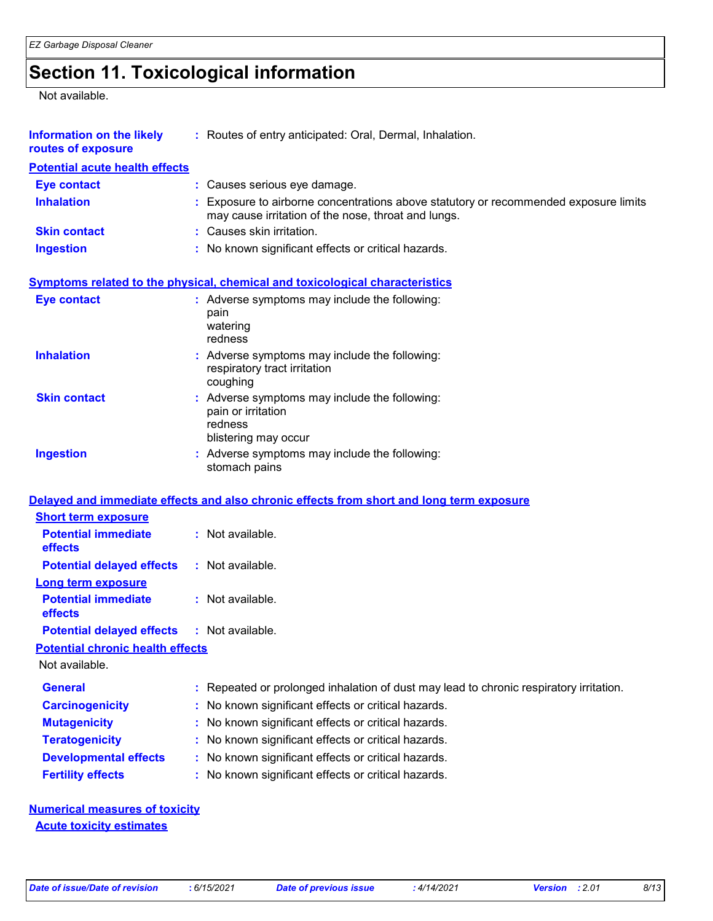# **Section 11. Toxicological information**

Not available.

| <b>Information on the likely</b><br>routes of exposure | : Routes of entry anticipated: Oral, Dermal, Inhalation.                                                                                  |
|--------------------------------------------------------|-------------------------------------------------------------------------------------------------------------------------------------------|
| <b>Potential acute health effects</b>                  |                                                                                                                                           |
| <b>Eye contact</b>                                     | : Causes serious eye damage.                                                                                                              |
| <b>Inhalation</b>                                      | Exposure to airborne concentrations above statutory or recommended exposure limits<br>may cause irritation of the nose, throat and lungs. |
| <b>Skin contact</b>                                    | : Causes skin irritation.                                                                                                                 |
| <b>Ingestion</b>                                       | : No known significant effects or critical hazards.                                                                                       |
|                                                        | <b>Symptoms related to the physical, chemical and toxicological characteristics</b>                                                       |
| <b>Eye contact</b>                                     | : Adverse symptoms may include the following:<br>pain<br>watering<br>redness                                                              |
| <b>Inhalation</b>                                      | : Adverse symptoms may include the following:<br>respiratory tract irritation<br>coughing                                                 |
| <b>Skin contact</b>                                    | : Adverse symptoms may include the following:<br>pain or irritation<br>redness<br>blistering may occur                                    |
| <b>Ingestion</b>                                       | : Adverse symptoms may include the following:<br>stomach pains                                                                            |
|                                                        | Delayed and immediate effects and also chronic effects from short and long term exposure                                                  |
| <b>Short term exposure</b>                             |                                                                                                                                           |
| <b>Potential immediate</b><br>effects                  | : Not available.                                                                                                                          |
| <b>Potential delayed effects</b>                       | : Not available.                                                                                                                          |
| <b>Long term exposure</b>                              |                                                                                                                                           |
| <b>Potential immediate</b><br>effects                  | : Not available.                                                                                                                          |
| <b>Potential delayed effects</b>                       | : Not available.                                                                                                                          |
| <b>Potential chronic health effects</b>                |                                                                                                                                           |
| Not available.                                         |                                                                                                                                           |
| <b>General</b>                                         | Repeated or prolonged inhalation of dust may lead to chronic respiratory irritation.<br>÷.                                                |
| <b>Carcinogenicity</b>                                 | No known significant effects or critical hazards.                                                                                         |
| <b>Mutagenicity</b>                                    | No known significant effects or critical hazards.<br>t                                                                                    |
| <b>Teratogenicity</b>                                  | No known significant effects or critical hazards.                                                                                         |
| <b>Developmental effects</b>                           | No known significant effects or critical hazards.                                                                                         |
| <b>Fertility effects</b>                               | No known significant effects or critical hazards.                                                                                         |

**Numerical measures of toxicity Acute toxicity estimates**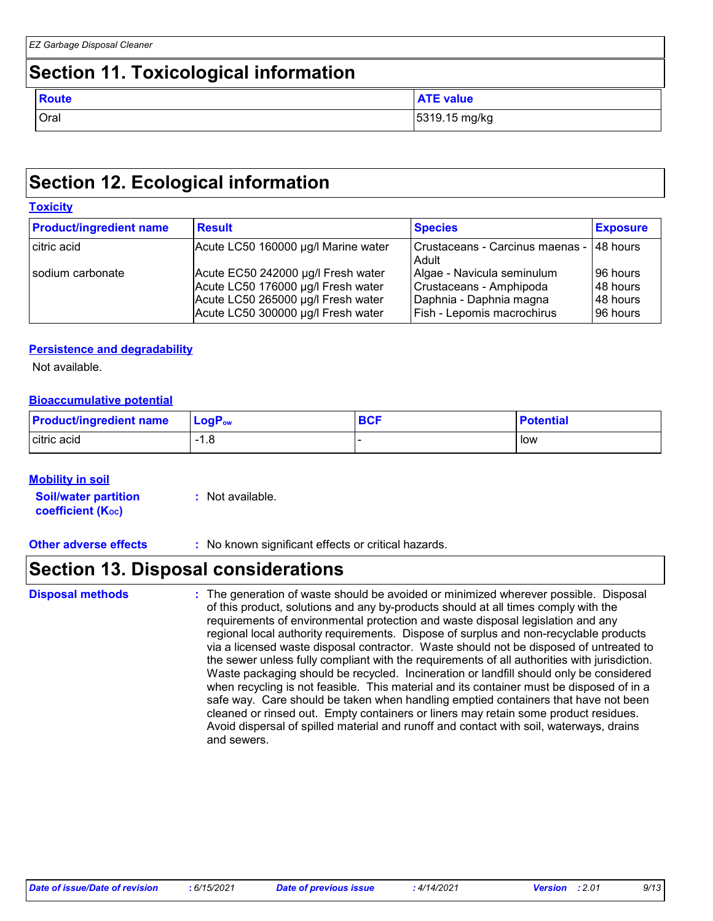### **Section 11. Toxicological information**

| <b>Route</b> | <b>ATE value</b> |
|--------------|------------------|
| Oral         | 5319.15 mg/kg    |

### **Section 12. Ecological information**

| <u>LUAIGHY</u>                 |                                                                                                                                                      |                                                                                                                |                                                |  |
|--------------------------------|------------------------------------------------------------------------------------------------------------------------------------------------------|----------------------------------------------------------------------------------------------------------------|------------------------------------------------|--|
| <b>Product/ingredient name</b> | <b>Result</b>                                                                                                                                        | <b>Species</b>                                                                                                 | <b>Exposure</b>                                |  |
| citric acid                    | Acute LC50 160000 µg/l Marine water                                                                                                                  | Crustaceans - Carcinus maenas - 148 hours<br>Adult                                                             |                                                |  |
| sodium carbonate               | Acute EC50 242000 µg/l Fresh water<br>Acute LC50 176000 µg/l Fresh water<br>Acute LC50 265000 µg/l Fresh water<br>Acute LC50 300000 µg/l Fresh water | Algae - Navicula seminulum<br>Crustaceans - Amphipoda<br>Daphnia - Daphnia magna<br>Fish - Lepomis macrochirus | 96 hours<br>l 48 hours<br>48 hours<br>96 hours |  |

#### **Persistence and degradability**

Not available.

**Toxicity**

#### **Bioaccumulative potential**

| <b>Product/ingredient name</b> | $LogP_{ow}$                     | <b>BCF</b> | <b>Potential</b> |
|--------------------------------|---------------------------------|------------|------------------|
| citric acid                    | 1.C<br>$\overline{\phantom{0}}$ |            | low              |

#### **Mobility in soil**

**Soil/water partition coefficient (KOC)**

**:** Not available.

**Other adverse effects** : No known significant effects or critical hazards.

### **Section 13. Disposal considerations**

The generation of waste should be avoided or minimized wherever possible. Disposal of this product, solutions and any by-products should at all times comply with the requirements of environmental protection and waste disposal legislation and any regional local authority requirements. Dispose of surplus and non-recyclable products via a licensed waste disposal contractor. Waste should not be disposed of untreated to the sewer unless fully compliant with the requirements of all authorities with jurisdiction. Waste packaging should be recycled. Incineration or landfill should only be considered when recycling is not feasible. This material and its container must be disposed of in a safe way. Care should be taken when handling emptied containers that have not been cleaned or rinsed out. Empty containers or liners may retain some product residues. Avoid dispersal of spilled material and runoff and contact with soil, waterways, drains and sewers. **Disposal methods :**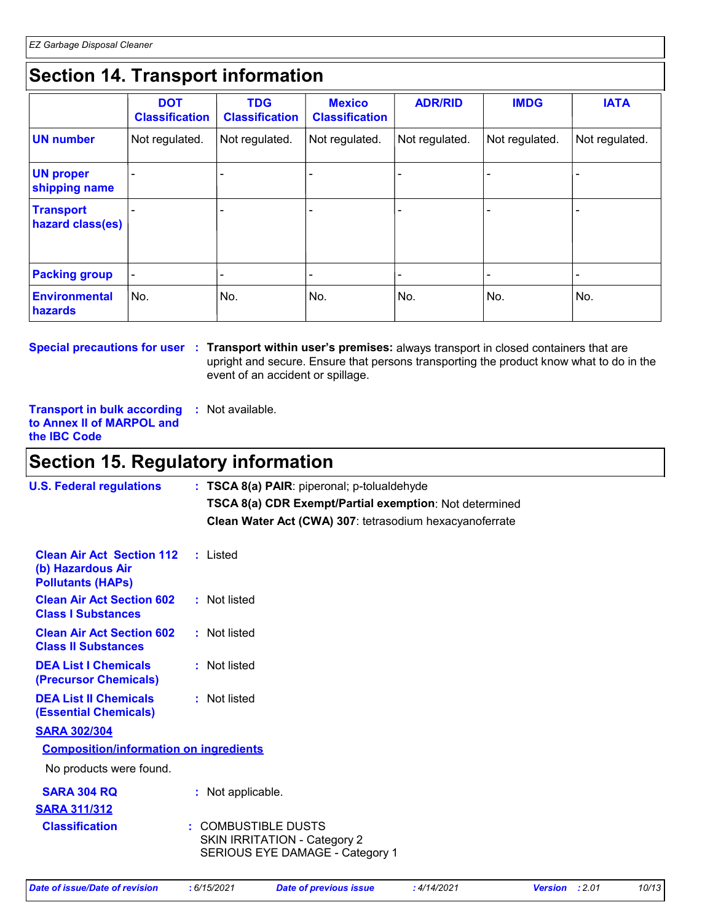# **Section 14. Transport information**

|                                      | <b>DOT</b><br><b>Classification</b> | <b>TDG</b><br><b>Classification</b> | <b>Mexico</b><br><b>Classification</b> | <b>ADR/RID</b> | <b>IMDG</b>    | <b>IATA</b>    |
|--------------------------------------|-------------------------------------|-------------------------------------|----------------------------------------|----------------|----------------|----------------|
| UN number                            | Not regulated.                      | Not regulated.                      | Not regulated.                         | Not regulated. | Not regulated. | Not regulated. |
| <b>UN proper</b><br>shipping name    |                                     |                                     |                                        |                |                |                |
| <b>Transport</b><br>hazard class(es) |                                     |                                     |                                        |                |                |                |
| <b>Packing group</b>                 |                                     |                                     |                                        |                |                |                |
| Environmental<br>hazards             | No.                                 | No.                                 | No.                                    | No.            | No.            | No.            |

**Special precautions for user** : Transport within user's premises: always transport in closed containers that are upright and secure. Ensure that persons transporting the product know what to do in the event of an accident or spillage.

**Transport in bulk according :** Not available. **to Annex II of MARPOL and the IBC Code**

### **Section 15. Regulatory information**

| <b>U.S. Federal regulations</b>                                                   | : TSCA 8(a) PAIR: piperonal; p-tolualdehyde<br>TSCA 8(a) CDR Exempt/Partial exemption: Not determined<br>Clean Water Act (CWA) 307: tetrasodium hexacyanoferrate |
|-----------------------------------------------------------------------------------|------------------------------------------------------------------------------------------------------------------------------------------------------------------|
| <b>Clean Air Act Section 112</b><br>(b) Hazardous Air<br><b>Pollutants (HAPS)</b> | : Listed                                                                                                                                                         |
| <b>Clean Air Act Section 602</b><br><b>Class I Substances</b>                     | : Not listed                                                                                                                                                     |
| <b>Clean Air Act Section 602</b><br><b>Class II Substances</b>                    | : Not listed                                                                                                                                                     |
| <b>DEA List I Chemicals</b><br>(Precursor Chemicals)                              | : Not listed                                                                                                                                                     |
| <b>DEA List II Chemicals</b><br><b>(Essential Chemicals)</b>                      | : Not listed                                                                                                                                                     |
| <b>SARA 302/304</b>                                                               |                                                                                                                                                                  |
| <b>Composition/information on ingredients</b>                                     |                                                                                                                                                                  |
| No products were found.                                                           |                                                                                                                                                                  |
| <b>SARA 304 RQ</b><br><b>SARA 311/312</b>                                         | : Not applicable.                                                                                                                                                |
| <b>Classification</b>                                                             | : COMBUSTIBLE DUSTS<br>SKIN IRRITATION - Category 2<br>SERIOUS EYE DAMAGE - Category 1                                                                           |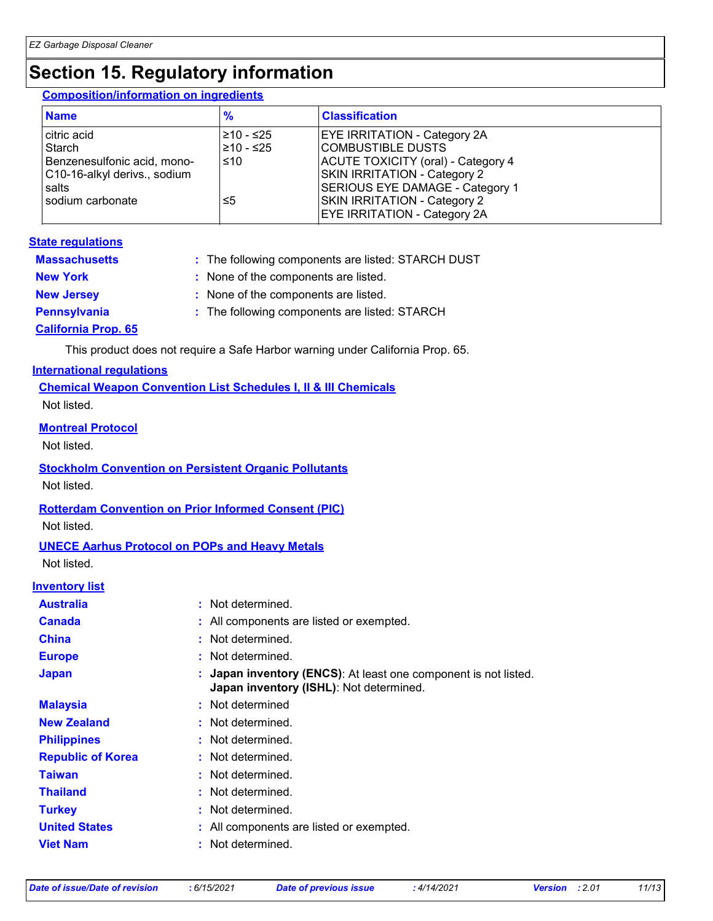# **Section 15. Regulatory information**

#### **Composition/information on ingredients**

| <b>Name</b>                                                                                                       | $\frac{9}{6}$                        | <b>Classification</b>                                                                                                                                                                                                                                  |
|-------------------------------------------------------------------------------------------------------------------|--------------------------------------|--------------------------------------------------------------------------------------------------------------------------------------------------------------------------------------------------------------------------------------------------------|
| citric acid<br>Starch<br>Benzenesulfonic acid, mono-<br>C10-16-alkyl derivs., sodium<br>salts<br>sodium carbonate | l≥10 - ≤25<br>210 - ≤25<br>≤10<br>≤5 | <b>EYE IRRITATION - Category 2A</b><br>COMBUSTIBLE DUSTS<br>ACUTE TOXICITY (oral) - Category 4<br><b>SKIN IRRITATION - Category 2</b><br>SERIOUS EYE DAMAGE - Category 1<br><b>SKIN IRRITATION - Category 2</b><br><b>EYE IRRITATION - Category 2A</b> |

#### **State regulations**

| <b>Massachusetts</b>       | : The following components are listed: STARCH DUST |
|----------------------------|----------------------------------------------------|
| <b>New York</b>            | : None of the components are listed.               |
| <b>New Jersey</b>          | : None of the components are listed.               |
| <b>Pennsylvania</b>        | : The following components are listed: STARCH      |
| <b>California Prop. 65</b> |                                                    |

This product does not require a Safe Harbor warning under California Prop. 65.

#### **International regulations**

**Chemical Weapon Convention List Schedules I, II & III Chemicals** Not listed.

#### **Montreal Protocol**

Not listed.

#### **Stockholm Convention on Persistent Organic Pollutants**

Not listed.

#### **Rotterdam Convention on Prior Informed Consent (PIC)**

Not listed.

#### **UNECE Aarhus Protocol on POPs and Heavy Metals**

Not listed.

#### **Inventory list**

| <b>Australia</b>         | : Not determined.                                                                                          |
|--------------------------|------------------------------------------------------------------------------------------------------------|
| <b>Canada</b>            | : All components are listed or exempted.                                                                   |
| <b>China</b>             | : Not determined.                                                                                          |
| <b>Europe</b>            | : Not determined.                                                                                          |
| <b>Japan</b>             | : Japan inventory (ENCS): At least one component is not listed.<br>Japan inventory (ISHL): Not determined. |
| <b>Malaysia</b>          | : Not determined                                                                                           |
| <b>New Zealand</b>       | : Not determined.                                                                                          |
| <b>Philippines</b>       | : Not determined.                                                                                          |
| <b>Republic of Korea</b> | : Not determined.                                                                                          |
| <b>Taiwan</b>            | : Not determined.                                                                                          |
| <b>Thailand</b>          | : Not determined.                                                                                          |
| <b>Turkey</b>            | : Not determined.                                                                                          |
| <b>United States</b>     | : All components are listed or exempted.                                                                   |
| <b>Viet Nam</b>          | : Not determined.                                                                                          |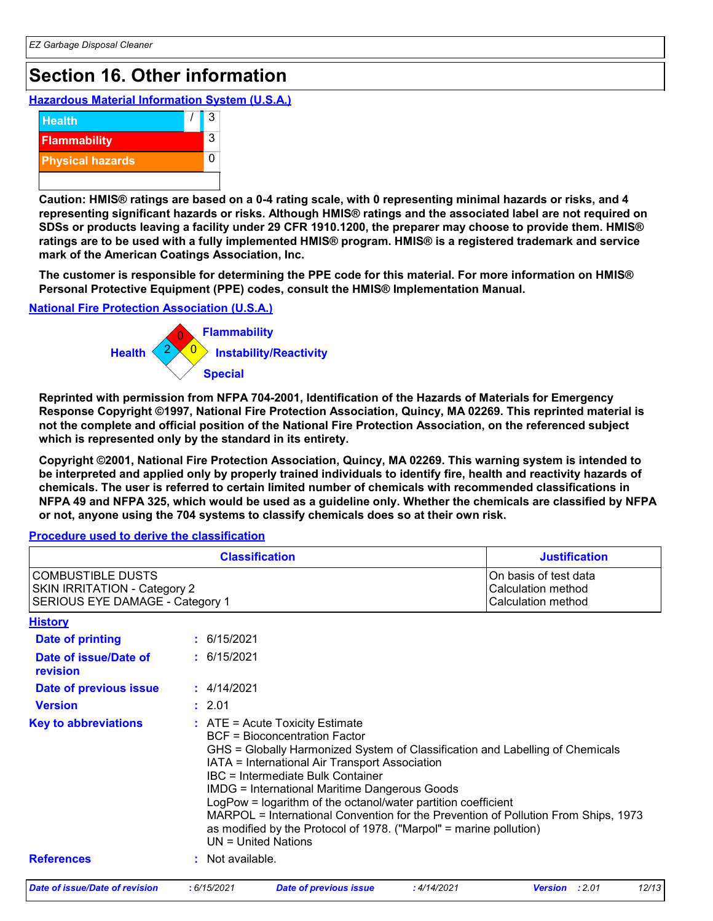# **Section 16. Other information**

**Hazardous Material Information System (U.S.A.)**



**Caution: HMIS® ratings are based on a 0-4 rating scale, with 0 representing minimal hazards or risks, and 4 representing significant hazards or risks. Although HMIS® ratings and the associated label are not required on SDSs or products leaving a facility under 29 CFR 1910.1200, the preparer may choose to provide them. HMIS® ratings are to be used with a fully implemented HMIS® program. HMIS® is a registered trademark and service mark of the American Coatings Association, Inc.**

**The customer is responsible for determining the PPE code for this material. For more information on HMIS® Personal Protective Equipment (PPE) codes, consult the HMIS® Implementation Manual.**

**National Fire Protection Association (U.S.A.)**



**Reprinted with permission from NFPA 704-2001, Identification of the Hazards of Materials for Emergency Response Copyright ©1997, National Fire Protection Association, Quincy, MA 02269. This reprinted material is not the complete and official position of the National Fire Protection Association, on the referenced subject which is represented only by the standard in its entirety.**

**Copyright ©2001, National Fire Protection Association, Quincy, MA 02269. This warning system is intended to be interpreted and applied only by properly trained individuals to identify fire, health and reactivity hazards of chemicals. The user is referred to certain limited number of chemicals with recommended classifications in NFPA 49 and NFPA 325, which would be used as a guideline only. Whether the chemicals are classified by NFPA or not, anyone using the 704 systems to classify chemicals does so at their own risk.**

#### **Procedure used to derive the classification**

|                                                                                                    |                  | <b>Classification</b>                                                                                                                                                                                                                                                                                                                                                                           |            | <b>Justification</b>                                                                                                                                                |
|----------------------------------------------------------------------------------------------------|------------------|-------------------------------------------------------------------------------------------------------------------------------------------------------------------------------------------------------------------------------------------------------------------------------------------------------------------------------------------------------------------------------------------------|------------|---------------------------------------------------------------------------------------------------------------------------------------------------------------------|
| <b>COMBUSTIBLE DUSTS</b><br><b>SKIN IRRITATION - Category 2</b><br>SERIOUS EYE DAMAGE - Category 1 |                  |                                                                                                                                                                                                                                                                                                                                                                                                 |            | On basis of test data<br>Calculation method<br>Calculation method                                                                                                   |
| <b>History</b>                                                                                     |                  |                                                                                                                                                                                                                                                                                                                                                                                                 |            |                                                                                                                                                                     |
| <b>Date of printing</b>                                                                            | : 6/15/2021      |                                                                                                                                                                                                                                                                                                                                                                                                 |            |                                                                                                                                                                     |
| Date of issue/Date of<br>revision                                                                  | : 6/15/2021      |                                                                                                                                                                                                                                                                                                                                                                                                 |            |                                                                                                                                                                     |
| Date of previous issue                                                                             | : 4/14/2021      |                                                                                                                                                                                                                                                                                                                                                                                                 |            |                                                                                                                                                                     |
| <b>Version</b>                                                                                     | : 2.01           |                                                                                                                                                                                                                                                                                                                                                                                                 |            |                                                                                                                                                                     |
| <b>Key to abbreviations</b>                                                                        |                  | $:$ ATE = Acute Toxicity Estimate<br><b>BCF</b> = Bioconcentration Factor<br>IATA = International Air Transport Association<br><b>IBC</b> = Intermediate Bulk Container<br><b>IMDG = International Maritime Dangerous Goods</b><br>LogPow = logarithm of the octanol/water partition coefficient<br>as modified by the Protocol of 1978. ("Marpol" = marine pollution)<br>$UN = United Nations$ |            | GHS = Globally Harmonized System of Classification and Labelling of Chemicals<br>MARPOL = International Convention for the Prevention of Pollution From Ships, 1973 |
| <b>References</b>                                                                                  | : Not available. |                                                                                                                                                                                                                                                                                                                                                                                                 |            |                                                                                                                                                                     |
| Date of issue/Date of revision                                                                     | :6/15/2021       | <b>Date of previous issue</b>                                                                                                                                                                                                                                                                                                                                                                   | :4/14/2021 | 12/13<br>:2.01<br><b>Version</b>                                                                                                                                    |